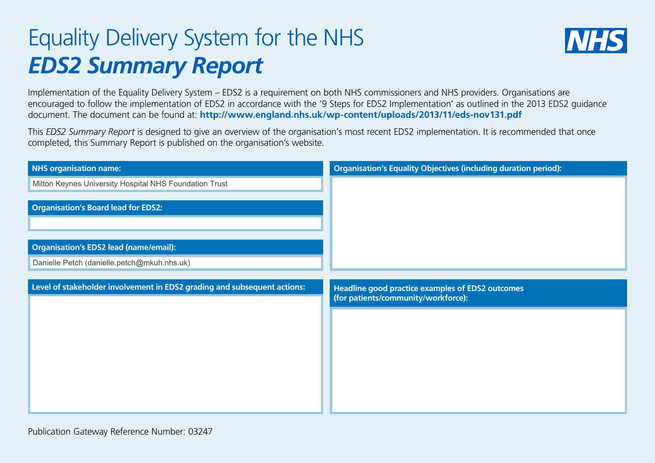## Equality Delivery System for the NHS *EDS2 Summary Report*



Implementation of the Equality Delivery System – EDS2 is a requirement on both NHS commissioners and NHS providers. Organisations are encouraged to follow the implementation of EDS2 in accordance with the '9 Steps for EDS2 Implementation' as outlined in the 2013 EDS2 guidance document. The document can be found at: **http://www.england.nhs.uk/wp-content/uploads/2013/11/eds-nov131.pdf**

This *EDS2 Summary Report* is designed to give an overview of the organisation's most recent EDS2 implementation. It is recommended that once completed, this Summary Report is published on the organisation's website.

| <b>NHS organisation name:</b>                                            | <b>Organisation's Equality Objectives (including duration period):</b>                         |
|--------------------------------------------------------------------------|------------------------------------------------------------------------------------------------|
| Milton Keynes University Hospital NHS Foundation Trust                   |                                                                                                |
| <b>Organisation's Board lead for EDS2:</b>                               |                                                                                                |
| <b>Organisation's EDS2 lead (name/email):</b>                            |                                                                                                |
| Danielle Petch (danielle.petch@mkuh.nhs.uk)                              |                                                                                                |
|                                                                          |                                                                                                |
| Level of stakeholder involvement in EDS2 grading and subsequent actions: | <b>Headline good practice examples of EDS2 outcomes</b><br>(for patients/community/workforce): |
|                                                                          |                                                                                                |
|                                                                          |                                                                                                |
|                                                                          |                                                                                                |
|                                                                          |                                                                                                |
|                                                                          |                                                                                                |
|                                                                          |                                                                                                |
|                                                                          |                                                                                                |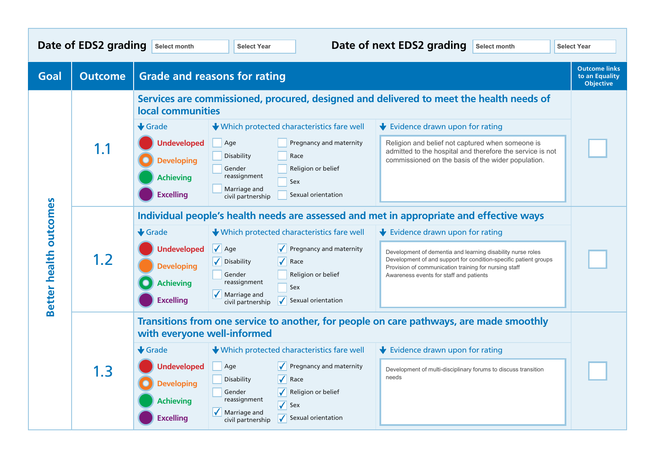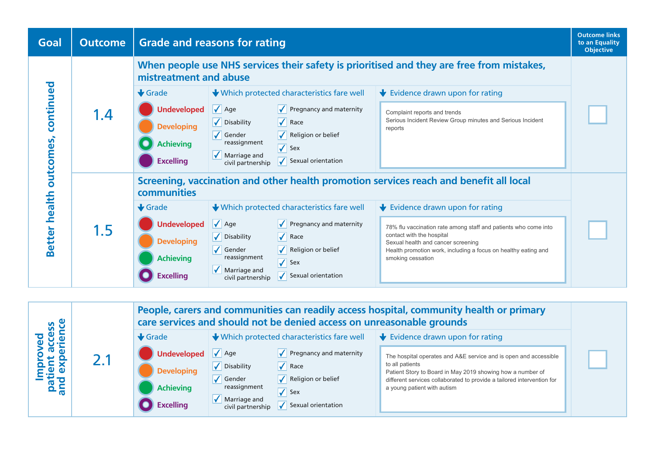

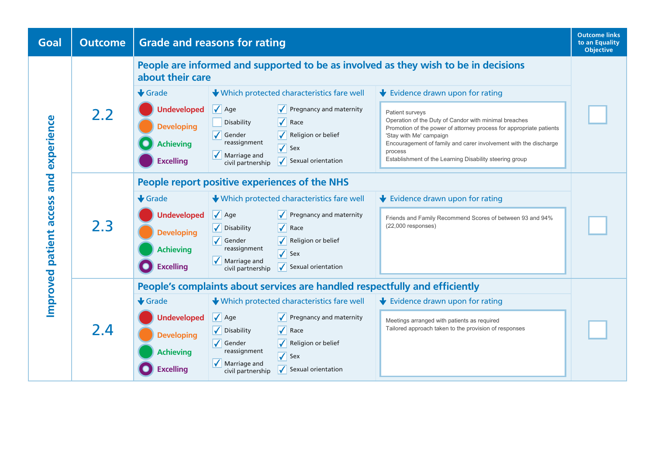| Goal                             | <b>Outcome</b> | <b>Grade and reasons for rating</b>                                                                     |                                                                |                                                            |                                                                                                                              |  |  |
|----------------------------------|----------------|---------------------------------------------------------------------------------------------------------|----------------------------------------------------------------|------------------------------------------------------------|------------------------------------------------------------------------------------------------------------------------------|--|--|
| and experience<br>patient access | 2.2            | People are informed and supported to be as involved as they wish to be in decisions<br>about their care |                                                                |                                                            |                                                                                                                              |  |  |
|                                  |                | $\bigstar$ Grade                                                                                        |                                                                | ↓ Which protected characteristics fare well                | Evidence drawn upon for rating                                                                                               |  |  |
|                                  |                | <b>Undeveloped</b>                                                                                      | $\sqrt{\phantom{a}}$ Age                                       | $\sqrt{\phantom{a}}$ Pregnancy and maternity               | Patient surveys                                                                                                              |  |  |
|                                  |                | <b>Developing</b>                                                                                       | Disability                                                     | $\sqrt{\phantom{a}}$ Race                                  | Operation of the Duty of Candor with minimal breaches<br>Promotion of the power of attorney process for appropriate patients |  |  |
|                                  |                | <b>Achieving</b>                                                                                        | $\sqrt{\phantom{a}}$ Gender<br>reassignment                    | Religion or belief                                         | 'Stay with Me' campaign<br>Encouragement of family and carer involvement with the discharge                                  |  |  |
|                                  |                | <b>Excelling</b>                                                                                        | $\sqrt{\phantom{a}}$ Marriage and                              | $\sqrt{\ }$ Sex<br>$\sqrt{\phantom{a}}$ Sexual orientation | process<br>Establishment of the Learning Disability steering group                                                           |  |  |
|                                  |                |                                                                                                         | civil partnership                                              |                                                            |                                                                                                                              |  |  |
|                                  | 2.3            | People report positive experiences of the NHS                                                           |                                                                |                                                            |                                                                                                                              |  |  |
|                                  |                | $\bigstar$ Grade                                                                                        |                                                                | ↓ Which protected characteristics fare well                | Evidence drawn upon for rating                                                                                               |  |  |
|                                  |                | <b>Undeveloped</b>                                                                                      | $\sqrt{\phantom{a}}$ Age                                       | $\sqrt{\phantom{a}}$ Pregnancy and maternity               | Friends and Family Recommend Scores of between 93 and 94%                                                                    |  |  |
|                                  |                | <b>Developing</b>                                                                                       | $\sqrt{\phantom{a}}$ Disability                                | $\sqrt{\phantom{a}}$ Race                                  | $(22,000$ responses)                                                                                                         |  |  |
|                                  |                | <b>Achieving</b>                                                                                        | $\sqrt{\,}$ Gender<br>reassignment                             | Religion or belief<br>$\sqrt{\ }$ Sex                      |                                                                                                                              |  |  |
|                                  |                | <b>Excelling</b>                                                                                        | $\sqrt{\phantom{a}}$ Marriage and<br>civil partnership         | $\sqrt{\phantom{a}}$ Sexual orientation                    |                                                                                                                              |  |  |
|                                  |                |                                                                                                         |                                                                |                                                            |                                                                                                                              |  |  |
|                                  | 2.4            |                                                                                                         |                                                                |                                                            | People's complaints about services are handled respectfully and efficiently                                                  |  |  |
| Improved                         |                | $\bigstar$ Grade                                                                                        |                                                                | Which protected characteristics fare well                  | $\blacktriangleright$ Evidence drawn upon for rating                                                                         |  |  |
|                                  |                | <b>Undeveloped</b>                                                                                      | $\sqrt{\phantom{a}}$ Age                                       | $\sqrt{\phantom{a}}$ Pregnancy and maternity               | Meetings arranged with patients as required<br>Tailored approach taken to the provision of responses                         |  |  |
|                                  |                | <b>Developing</b>                                                                                       | $\sqrt{\phantom{a}}$ Disability<br>$\sqrt{\phantom{a}}$ Gender | $\sqrt{\phantom{a}}$ Race<br>Religion or belief            |                                                                                                                              |  |  |
|                                  |                | <b>Achieving</b>                                                                                        | reassignment                                                   | $\sqrt{\ }$ Sex                                            |                                                                                                                              |  |  |
|                                  |                | <b>Excelling</b>                                                                                        | $\sqrt{\phantom{a}}$ Marriage and<br>civil partnership         | $\sqrt{\phantom{a}}$ Sexual orientation                    |                                                                                                                              |  |  |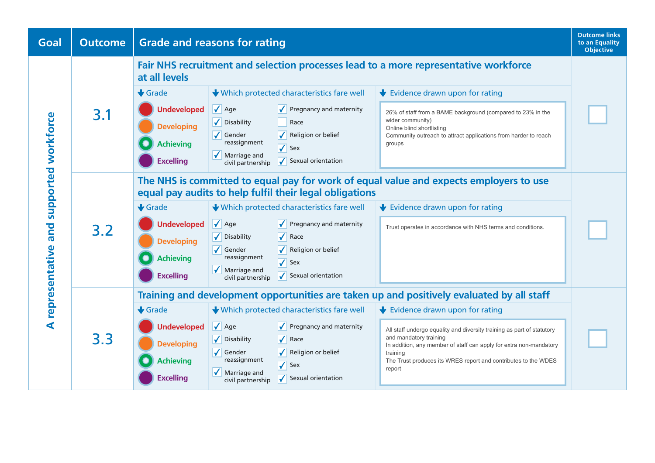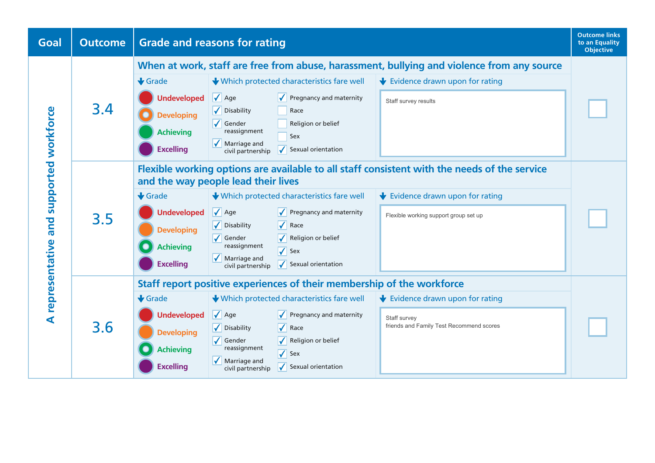| Goal                                     | <b>Outcome</b> | <b>Grade and reasons for rating</b>                                                                                                                                                                                                                                                                                                                                                                                                                                                                                                                                                                                                                                   |  |  |  |  |
|------------------------------------------|----------------|-----------------------------------------------------------------------------------------------------------------------------------------------------------------------------------------------------------------------------------------------------------------------------------------------------------------------------------------------------------------------------------------------------------------------------------------------------------------------------------------------------------------------------------------------------------------------------------------------------------------------------------------------------------------------|--|--|--|--|
| A representative and supported workforce | 3.4            | When at work, staff are free from abuse, harassment, bullying and violence from any source<br>↓ Which protected characteristics fare well<br>$\bigstar$ Evidence drawn upon for rating<br>$\bigstar$ Grade<br>$\sqrt{\phantom{a}}$ Age<br><b>Undeveloped</b><br>$\sqrt{\phantom{a}}$ Pregnancy and maternity<br>Staff survey results<br>$\sqrt{\phantom{a}}$ Disability<br>Race<br><b>Developing</b><br>$\sqrt{\phantom{a}}$ Gender<br>Religion or belief<br>reassignment<br><b>Achieving</b><br>Sex<br>$\sqrt{\phantom{a}}$ Marriage and<br><b>Excelling</b><br>$\overline{\checkmark}$<br>Sexual orientation<br>civil partnership                                   |  |  |  |  |
|                                          | 3.5            | Flexible working options are available to all staff consistent with the needs of the service<br>and the way people lead their lives<br>$\bigstar$ Grade<br>↓ Which protected characteristics fare well<br>Evidence drawn upon for rating<br>$\sqrt{\phantom{a}}$ Age<br><b>Undeveloped</b><br>$\sqrt{\phantom{a}}$ Pregnancy and maternity<br>Flexible working support group set up<br>$\sqrt{\phantom{a}}$ Race<br>√ Disability<br><b>Developing</b><br>$\sqrt{\phantom{a}}$ Gender<br>Religion or belief<br>reassignment<br><b>Achieving</b><br>$\sqrt{\ }$ Sex<br>$\sqrt{\phantom{a}}$ Marriage and<br><b>Excelling</b><br>Sexual orientation<br>civil partnership |  |  |  |  |
|                                          | 3.6            | Staff report positive experiences of their membership of the workforce<br>$\bigstar$ Grade<br>↓ Which protected characteristics fare well<br>Evidence drawn upon for rating<br>$\sqrt{\phantom{a}}$ Age<br><b>Undeveloped</b><br>$\sqrt{\phantom{a}}$ Pregnancy and maternity<br>Staff survey<br>friends and Family Test Recommend scores<br>$\sqrt{\phantom{a}}$ Disability<br>$\sqrt{\phantom{a}}$ Race<br><b>Developing</b><br>$\sqrt{\phantom{a}}$ Gender<br>Religion or belief<br>reassignment<br><b>Achieving</b><br>$\sqrt{\ }$ Sex<br>$\sqrt{\phantom{a}}$ Marriage and<br><b>Excelling</b><br>Sexual orientation<br>civil partnership                        |  |  |  |  |